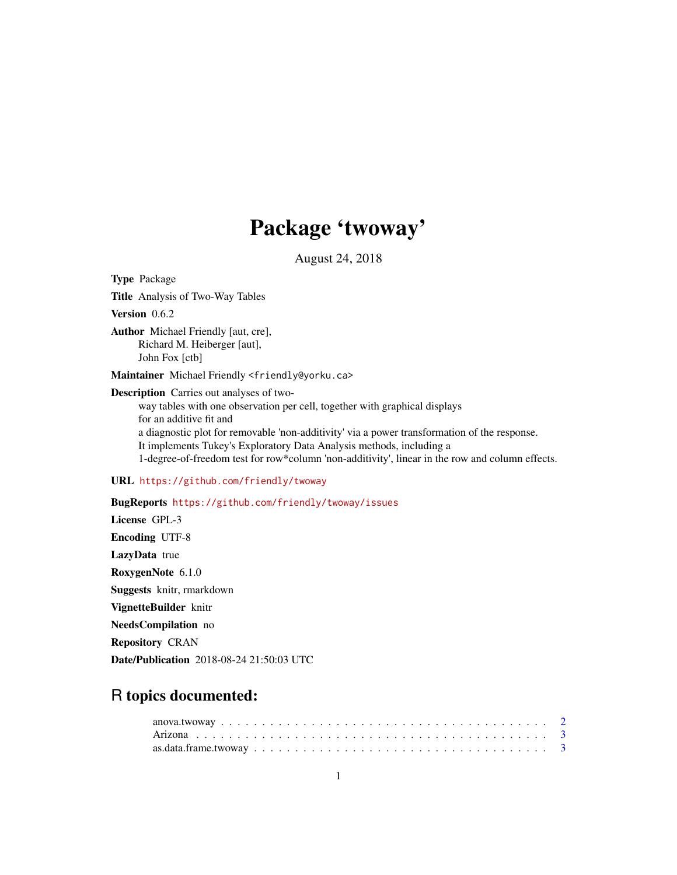# Package 'twoway'

August 24, 2018

<span id="page-0-0"></span>Type Package Title Analysis of Two-Way Tables Version 0.6.2 Author Michael Friendly [aut, cre], Richard M. Heiberger [aut], John Fox [ctb] Maintainer Michael Friendly <friendly@yorku.ca> Description Carries out analyses of twoway tables with one observation per cell, together with graphical displays for an additive fit and a diagnostic plot for removable 'non-additivity' via a power transformation of the response. It implements Tukey's Exploratory Data Analysis methods, including a 1-degree-of-freedom test for row\*column 'non-additivity', linear in the row and column effects. URL <https://github.com/friendly/twoway> BugReports <https://github.com/friendly/twoway/issues> License GPL-3 Encoding UTF-8 LazyData true RoxygenNote 6.1.0 Suggests knitr, rmarkdown VignetteBuilder knitr NeedsCompilation no Repository CRAN

Date/Publication 2018-08-24 21:50:03 UTC

# R topics documented: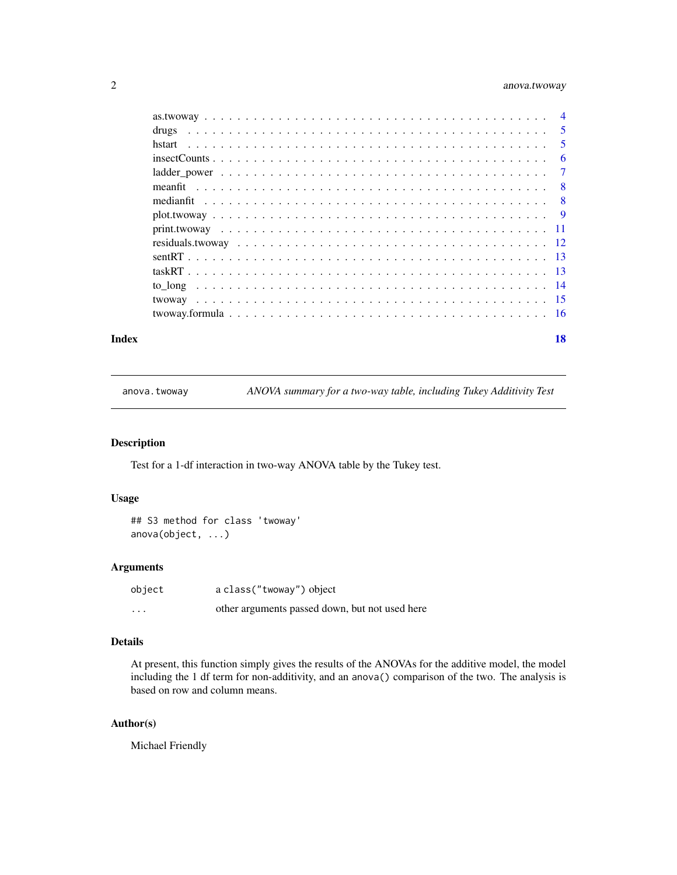# <span id="page-1-0"></span>2 anova.twoway

|        | $\overline{5}$ |
|--------|----------------|
| hstart | $\sqrt{5}$     |
|        | 6              |
|        | $\overline{7}$ |
|        | - 8            |
|        |                |
|        |                |
|        |                |
|        |                |
|        |                |
|        |                |
|        |                |
|        |                |
|        |                |
|        |                |

#### **Index** 2008 **[18](#page-17-0)**

anova.twoway *ANOVA summary for a two-way table, including Tukey Additivity Test*

# Description

Test for a 1-df interaction in two-way ANOVA table by the Tukey test.

# Usage

## S3 method for class 'twoway' anova(object, ...)

# Arguments

| object   | a class ("twoway") object                      |
|----------|------------------------------------------------|
| $\cdots$ | other arguments passed down, but not used here |

# Details

At present, this function simply gives the results of the ANOVAs for the additive model, the model including the 1 df term for non-additivity, and an anova() comparison of the two. The analysis is based on row and column means.

# Author(s)

Michael Friendly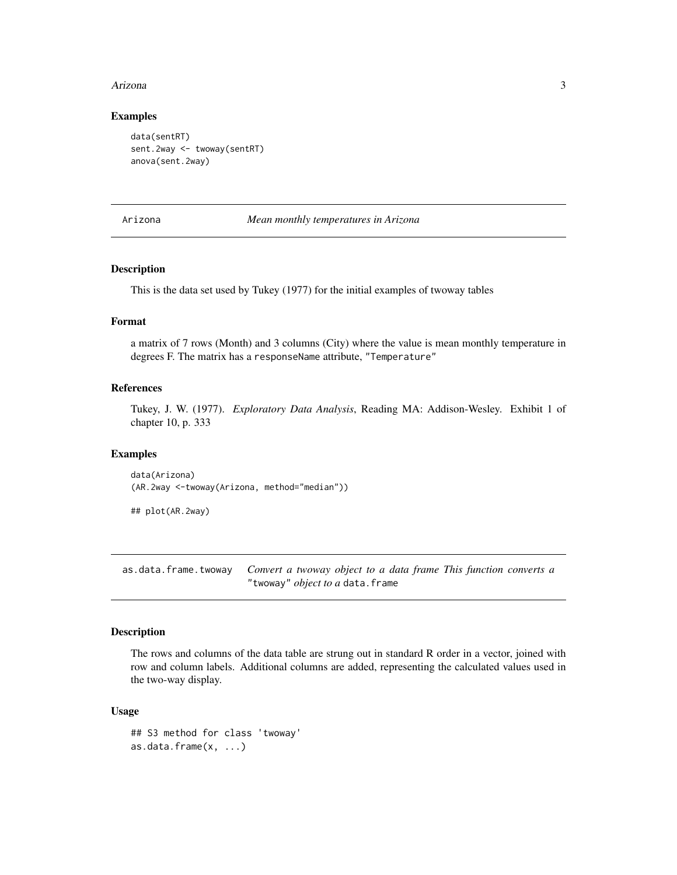#### <span id="page-2-0"></span>Arizona 3

#### Examples

```
data(sentRT)
sent.2way <- twoway(sentRT)
anova(sent.2way)
```
Arizona *Mean monthly temperatures in Arizona*

# Description

This is the data set used by Tukey (1977) for the initial examples of twoway tables

# Format

a matrix of 7 rows (Month) and 3 columns (City) where the value is mean monthly temperature in degrees F. The matrix has a responseName attribute, "Temperature"

#### References

Tukey, J. W. (1977). *Exploratory Data Analysis*, Reading MA: Addison-Wesley. Exhibit 1 of chapter 10, p. 333

#### Examples

data(Arizona) (AR.2way <-twoway(Arizona, method="median"))

## plot(AR.2way)

as.data.frame.twoway *Convert a twoway object to a data frame This function converts a* "twoway" *object to a* data.frame

# Description

The rows and columns of the data table are strung out in standard R order in a vector, joined with row and column labels. Additional columns are added, representing the calculated values used in the two-way display.

#### Usage

```
## S3 method for class 'twoway'
as.data.frame(x, ...)
```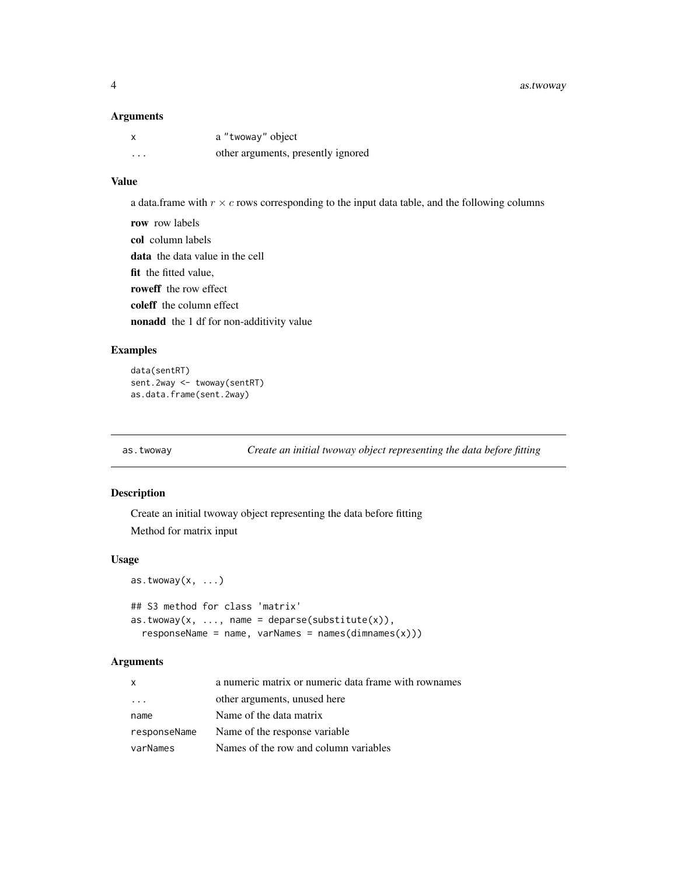<span id="page-3-0"></span>4 as.twoway

#### Arguments

|   | a "twoway" object                  |
|---|------------------------------------|
| . | other arguments, presently ignored |

# Value

a data.frame with  $r \times c$  rows corresponding to the input data table, and the following columns

row row labels col column labels data the data value in the cell fit the fitted value. roweff the row effect coleff the column effect nonadd the 1 df for non-additivity value

# Examples

```
data(sentRT)
sent.2way <- twoway(sentRT)
as.data.frame(sent.2way)
```
as.twoway *Create an initial twoway object representing the data before fitting*

# Description

Create an initial twoway object representing the data before fitting Method for matrix input

#### Usage

```
as.twoway(x, \ldots)## S3 method for class 'matrix'
as.twoway(x, ..., name = deparse(substitute(x)),
  responsibleName = name, varNames = names(dimnames(x)))
```

| $\mathsf{x}$ | a numeric matrix or numeric data frame with rownames |
|--------------|------------------------------------------------------|
| $\cdots$     | other arguments, unused here                         |
| name         | Name of the data matrix                              |
| responseName | Name of the response variable                        |
| varNames     | Names of the row and column variables                |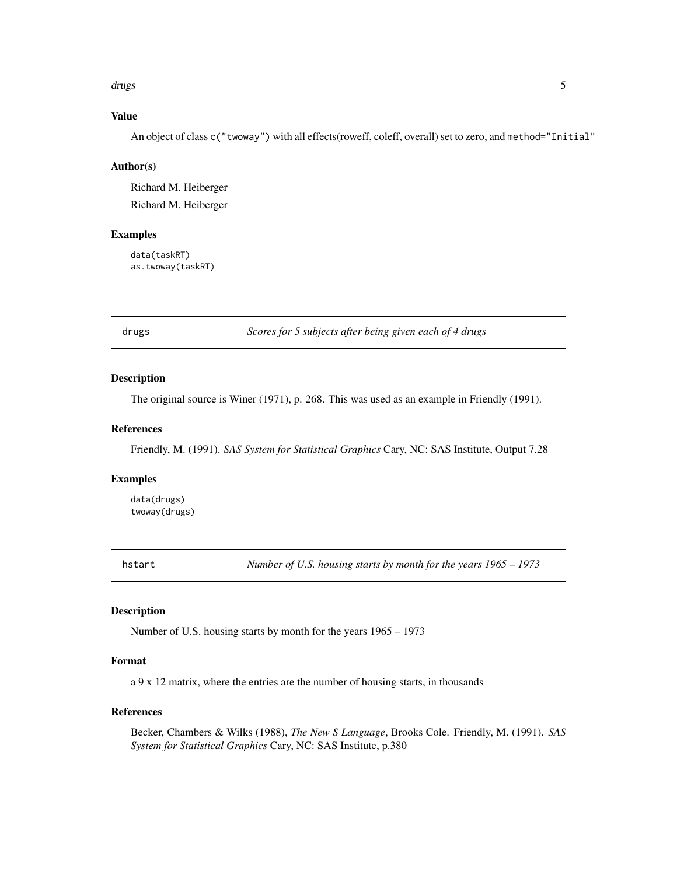#### <span id="page-4-0"></span>drugs that the contract of the contract of the contract of the contract of the contract of the contract of the contract of the contract of the contract of the contract of the contract of the contract of the contract of the

# Value

An object of class c("twoway") with all effects(roweff, coleff, overall) set to zero, and method="Initial"

#### Author(s)

Richard M. Heiberger Richard M. Heiberger

#### Examples

data(taskRT) as.twoway(taskRT)

drugs *Scores for 5 subjects after being given each of 4 drugs*

#### Description

The original source is Winer (1971), p. 268. This was used as an example in Friendly (1991).

#### References

Friendly, M. (1991). *SAS System for Statistical Graphics* Cary, NC: SAS Institute, Output 7.28

# Examples

data(drugs) twoway(drugs)

hstart *Number of U.S. housing starts by month for the years 1965 – 1973*

# Description

Number of U.S. housing starts by month for the years 1965 – 1973

# Format

a 9 x 12 matrix, where the entries are the number of housing starts, in thousands

# References

Becker, Chambers & Wilks (1988), *The New S Language*, Brooks Cole. Friendly, M. (1991). *SAS System for Statistical Graphics* Cary, NC: SAS Institute, p.380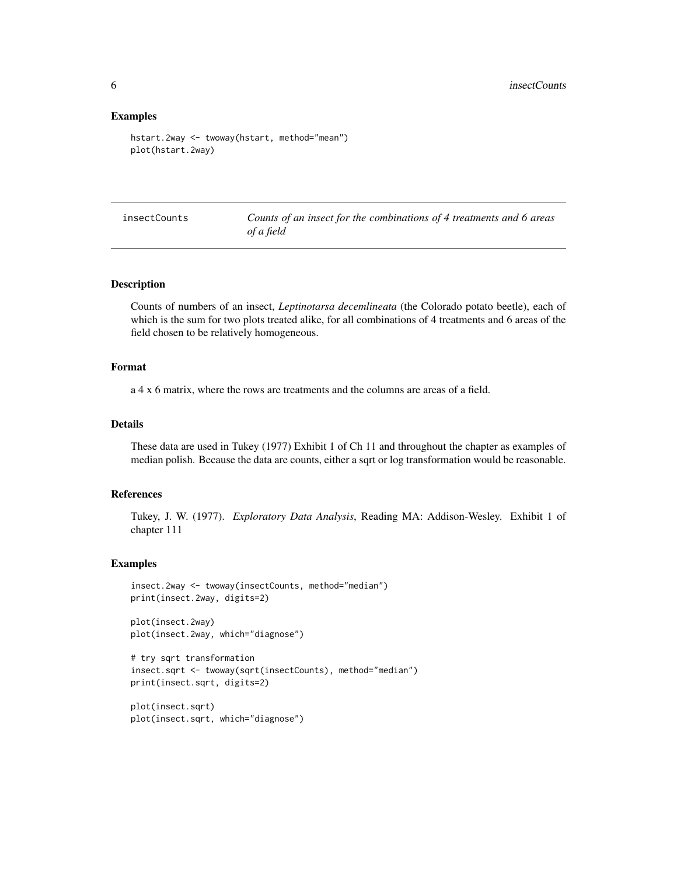#### Examples

```
hstart.2way <- twoway(hstart, method="mean")
plot(hstart.2way)
```

|  | insectCounts |  |
|--|--------------|--|
|  |              |  |
|  |              |  |
|  |              |  |

Counts of an insect for the combinations of 4 treatments and 6 areas *of a field*

#### Description

Counts of numbers of an insect, *Leptinotarsa decemlineata* (the Colorado potato beetle), each of which is the sum for two plots treated alike, for all combinations of 4 treatments and 6 areas of the field chosen to be relatively homogeneous.

#### Format

a 4 x 6 matrix, where the rows are treatments and the columns are areas of a field.

# Details

These data are used in Tukey (1977) Exhibit 1 of Ch 11 and throughout the chapter as examples of median polish. Because the data are counts, either a sqrt or log transformation would be reasonable.

# References

Tukey, J. W. (1977). *Exploratory Data Analysis*, Reading MA: Addison-Wesley. Exhibit 1 of chapter 111

```
insect.2way <- twoway(insectCounts, method="median")
print(insect.2way, digits=2)
```

```
plot(insect.2way)
plot(insect.2way, which="diagnose")
```

```
# try sqrt transformation
insect.sqrt <- twoway(sqrt(insectCounts), method="median")
print(insect.sqrt, digits=2)
```

```
plot(insect.sqrt)
plot(insect.sqrt, which="diagnose")
```
<span id="page-5-0"></span>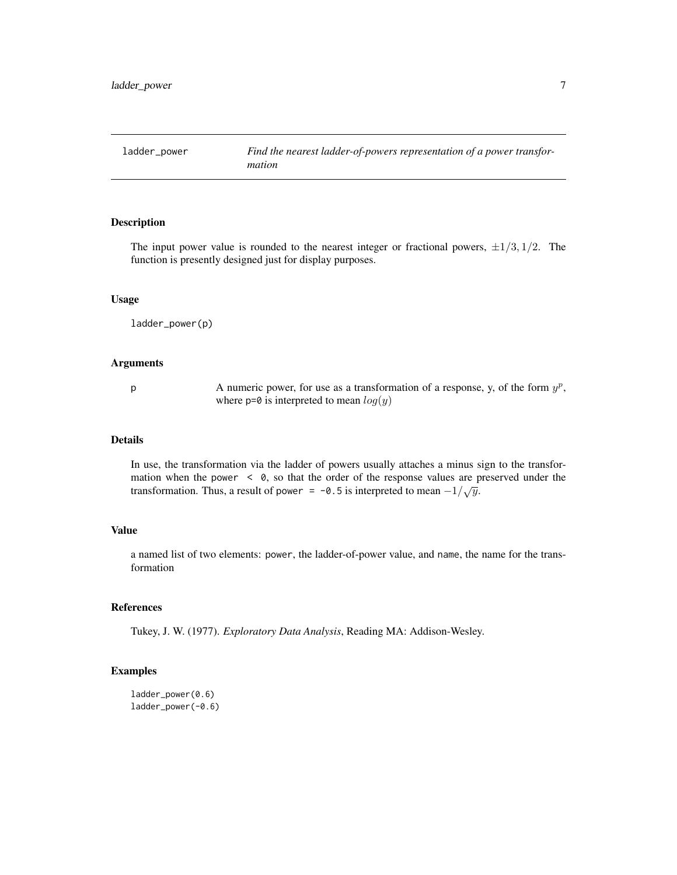<span id="page-6-0"></span>

The input power value is rounded to the nearest integer or fractional powers,  $\pm 1/3$ ,  $1/2$ . The function is presently designed just for display purposes.

#### Usage

ladder\_power(p)

# Arguments

p A numeric power, for use as a transformation of a response, y, of the form  $y^p$ , where  $p=0$  is interpreted to mean  $log(y)$ 

#### Details

In use, the transformation via the ladder of powers usually attaches a minus sign to the transformation when the power  $\leq \theta$ , so that the order of the response values are preserved under the transformation. Thus, a result of power = -0.5 is interpreted to mean  $-1/\sqrt{y}$ .

#### Value

a named list of two elements: power, the ladder-of-power value, and name, the name for the transformation

# References

Tukey, J. W. (1977). *Exploratory Data Analysis*, Reading MA: Addison-Wesley.

```
ladder_power(0.6)
ladder_power(-0.6)
```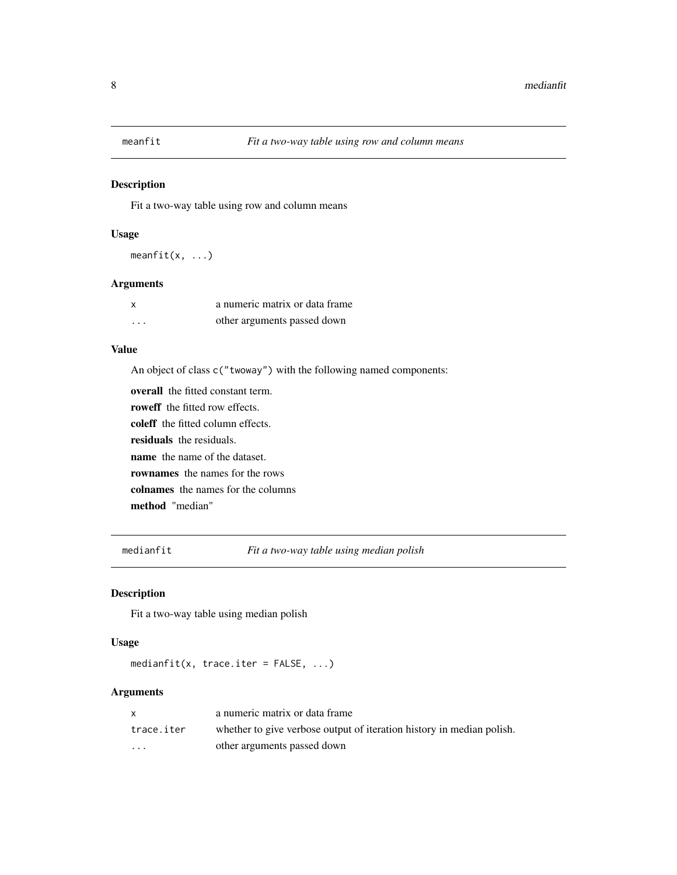<span id="page-7-2"></span><span id="page-7-0"></span>

Fit a two-way table using row and column means

#### Usage

meanfit(x, ...)

# Arguments

| $\boldsymbol{\mathsf{x}}$ | a numeric matrix or data frame |
|---------------------------|--------------------------------|
| .                         | other arguments passed down    |

# Value

An object of class c("twoway") with the following named components:

overall the fitted constant term. roweff the fitted row effects. coleff the fitted column effects. residuals the residuals. name the name of the dataset. rownames the names for the rows colnames the names for the columns method "median"

<span id="page-7-1"></span>medianfit *Fit a two-way table using median polish*

# Description

Fit a two-way table using median polish

#### Usage

medianfit(x, trace.iter = FALSE, ...)

|            | a numeric matrix or data frame                                        |
|------------|-----------------------------------------------------------------------|
| trace.iter | whether to give verbose output of iteration history in median polish. |
| $\cdots$   | other arguments passed down                                           |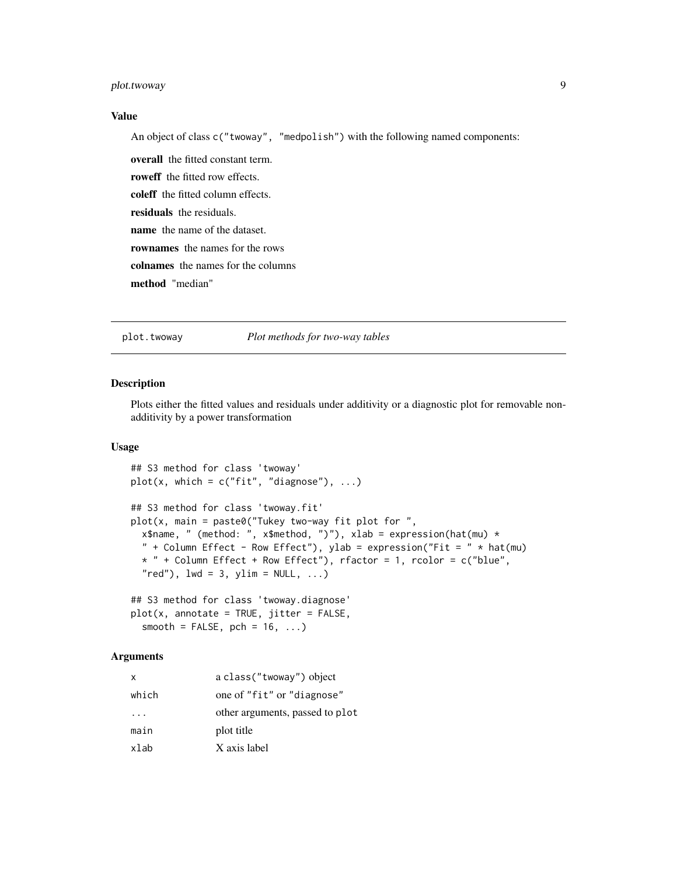# <span id="page-8-0"></span>plot.twoway 9

# Value

An object of class c("twoway", "medpolish") with the following named components:

overall the fitted constant term. roweff the fitted row effects. coleff the fitted column effects. residuals the residuals. name the name of the dataset. rownames the names for the rows colnames the names for the columns method "median"

plot.twoway *Plot methods for two-way tables*

# Description

Plots either the fitted values and residuals under additivity or a diagnostic plot for removable nonadditivity by a power transformation

#### Usage

```
## S3 method for class 'twoway'
plot(x, which = c("fit", "diagnose"), ...)## S3 method for class 'twoway.fit'
plot(x, main = paste0("Tukey two-way fit plot for ",x$name, " (method: ", x$method, ")"), xlab = expression(hat(mu) *
  " + Column Effect - Row Effect"), ylab = expression("Fit = " * hat(mu)
 * " + Column Effect + Row Effect"), rfactor = 1, rcolor = c("blue",
  "red"), 1wd = 3, ylim = NULL, ...
```

```
## S3 method for class 'twoway.diagnose'
plot(x, annotate = TRUE, jitter = FALSE,
  smooth = FALSE, pch = 16, ...)
```

| x        | a class ("twoway") object       |
|----------|---------------------------------|
| which    | one of "fit" or "diagnose"      |
| $\cdots$ | other arguments, passed to plot |
| main     | plot title                      |
| xlab     | X axis label                    |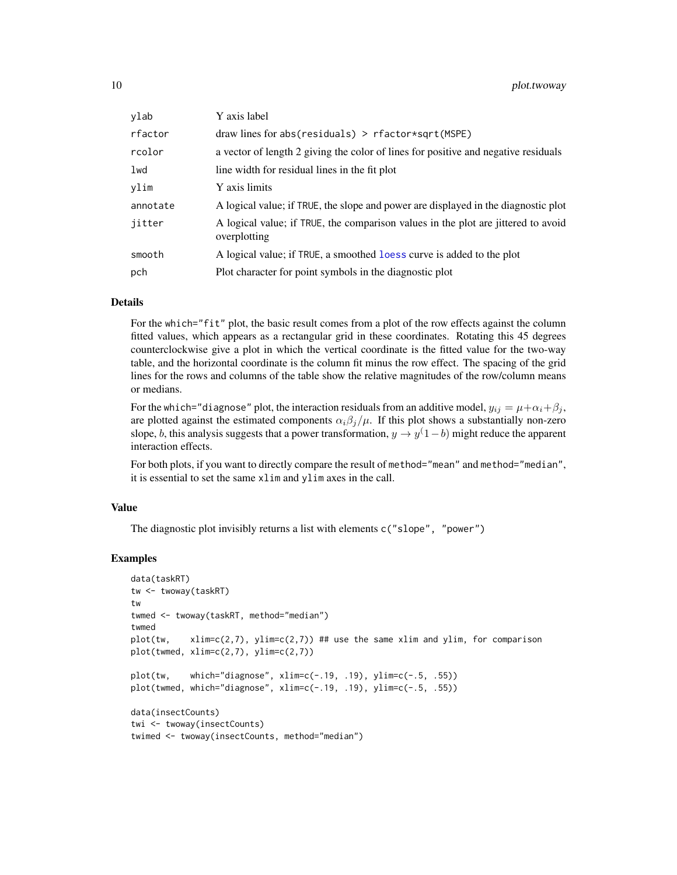<span id="page-9-0"></span>

| ylab     | Y axis label                                                                                      |
|----------|---------------------------------------------------------------------------------------------------|
| rfactor  | $draw lines for abs(residuals) > rfactor*sqrt(MSPE)$                                              |
| rcolor   | a vector of length 2 giving the color of lines for positive and negative residuals                |
| lwd      | line width for residual lines in the fit plot                                                     |
| ylim     | Y axis limits                                                                                     |
| annotate | A logical value; if TRUE, the slope and power are displayed in the diagnostic plot                |
| jitter   | A logical value; if TRUE, the comparison values in the plot are jittered to avoid<br>overplotting |
| smooth   | A logical value; if TRUE, a smoothed logic curve is added to the plot                             |
| pch      | Plot character for point symbols in the diagnostic plot                                           |

#### Details

For the which="fit" plot, the basic result comes from a plot of the row effects against the column fitted values, which appears as a rectangular grid in these coordinates. Rotating this 45 degrees counterclockwise give a plot in which the vertical coordinate is the fitted value for the two-way table, and the horizontal coordinate is the column fit minus the row effect. The spacing of the grid lines for the rows and columns of the table show the relative magnitudes of the row/column means or medians.

For the which="diagnose" plot, the interaction residuals from an additive model,  $y_{ij} = \mu + \alpha_i + \beta_j$ , are plotted against the estimated components  $\alpha_i\beta_j/\mu$ . If this plot shows a substantially non-zero slope, b, this analysis suggests that a power transformation,  $y \to y(1-b)$  might reduce the apparent interaction effects.

For both plots, if you want to directly compare the result of method="mean" and method="median", it is essential to set the same xlim and ylim axes in the call.

#### Value

The diagnostic plot invisibly returns a list with elements c("slope", "power")

```
data(taskRT)
tw <- twoway(taskRT)
tw
twmed <- twoway(taskRT, method="median")
twmed
plot(tw, xlim=c(2,7), ylim=c(2,7)) ## use the same xlim and ylim, for comparison
plot(twmed, xlim=c(2,7), ylim=c(2,7))
plot(tw, which="diagnose", xlim=c(-.19, .19), ylim=c(-.5, .55))
plot(twmed, which="diagnose", xlim=c(-.19, .19), ylim=c(-.5, .55))
data(insectCounts)
twi <- twoway(insectCounts)
twimed <- twoway(insectCounts, method="median")
```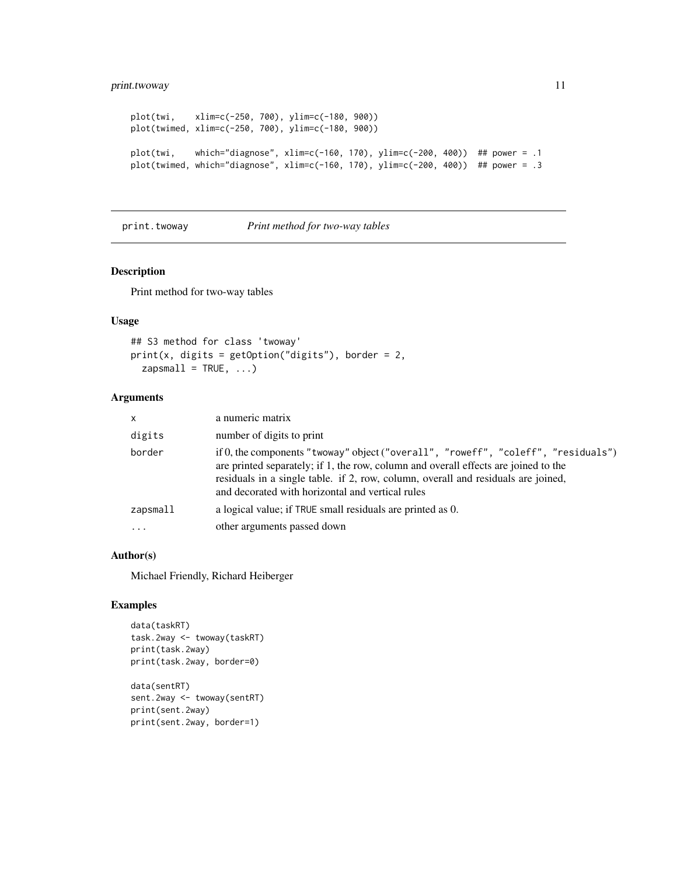# <span id="page-10-0"></span>print.twoway 11

```
plot(twi, xlim=c(-250, 700), ylim=c(-180, 900))
plot(twimed, xlim=c(-250, 700), ylim=c(-180, 900))
plot(twi, which="diagnose", xlim=c(-160, 170), ylim=c(-200, 400)) ## power = .1
plot(twimed, which="diagnose", xlim=c(-160, 170), ylim=c(-200, 400)) ## power = .3
```
print.twoway *Print method for two-way tables*

#### Description

Print method for two-way tables

# Usage

```
## S3 method for class 'twoway'
print(x, \text{ digits} = getOption("digits"), border = 2,zapsmall = TRUE, ...)
```
# Arguments

| $\mathsf{x}$ | a numeric matrix                                                                                                                                                                                                                                                                                                  |
|--------------|-------------------------------------------------------------------------------------------------------------------------------------------------------------------------------------------------------------------------------------------------------------------------------------------------------------------|
| digits       | number of digits to print                                                                                                                                                                                                                                                                                         |
| border       | if 0, the components "twoway" object ("overall", "roweff", "coleff", "residuals")<br>are printed separately; if 1, the row, column and overall effects are joined to the<br>residuals in a single table. if 2, row, column, overall and residuals are joined,<br>and decorated with horizontal and vertical rules |
| $z$ apsmall  | a logical value; if TRUE small residuals are printed as 0.                                                                                                                                                                                                                                                        |
| $\ddotsc$    | other arguments passed down                                                                                                                                                                                                                                                                                       |
|              |                                                                                                                                                                                                                                                                                                                   |

# Author(s)

Michael Friendly, Richard Heiberger

# Examples

```
data(taskRT)
task.2way <- twoway(taskRT)
print(task.2way)
print(task.2way, border=0)
data(sentRT)
sent.2way <- twoway(sentRT)
```
print(sent.2way) print(sent.2way, border=1)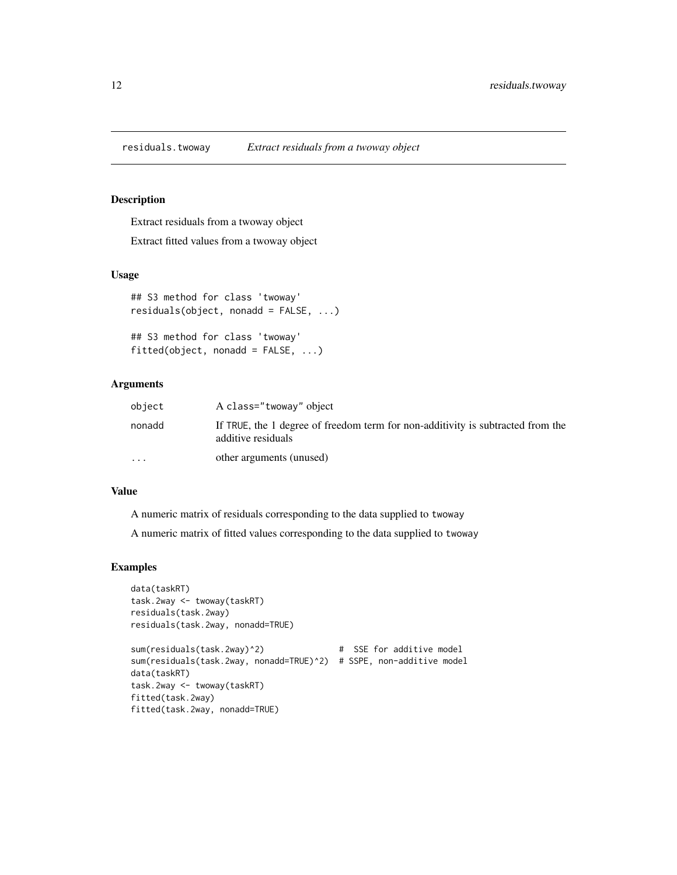<span id="page-11-0"></span>

Extract residuals from a twoway object

Extract fitted values from a twoway object

# Usage

```
## S3 method for class 'twoway'
residuals(object, nonadd = FALSE, ...)
```

```
## S3 method for class 'twoway'
fitted(object, nonadd = FALSE, ...)
```
# Arguments

| object    | A class="twoway" object                                                                               |
|-----------|-------------------------------------------------------------------------------------------------------|
| nonadd    | If TRUE, the 1 degree of freedom term for non-additivity is subtracted from the<br>additive residuals |
| $\ddotsc$ | other arguments (unused)                                                                              |

# Value

A numeric matrix of residuals corresponding to the data supplied to twoway

A numeric matrix of fitted values corresponding to the data supplied to twoway

```
data(taskRT)
task.2way <- twoway(taskRT)
residuals(task.2way)
residuals(task.2way, nonadd=TRUE)
sum(residuals(task.2way)^2) # SSE for additive model
sum(residuals(task.2way, nonadd=TRUE)^2) # SSPE, non-additive model
data(taskRT)
task.2way <- twoway(taskRT)
fitted(task.2way)
fitted(task.2way, nonadd=TRUE)
```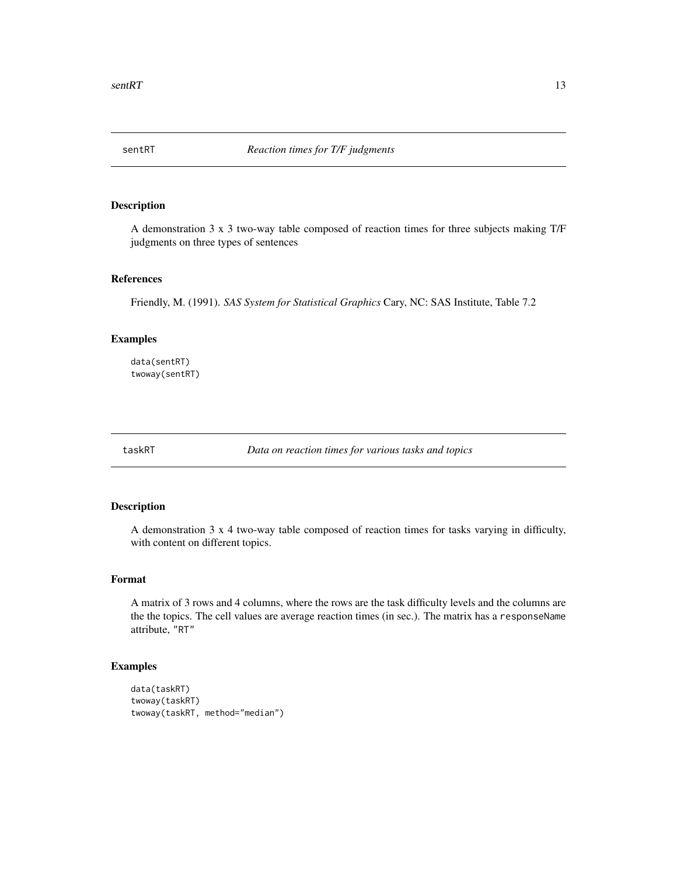<span id="page-12-0"></span>

A demonstration 3 x 3 two-way table composed of reaction times for three subjects making T/F judgments on three types of sentences

# References

Friendly, M. (1991). *SAS System for Statistical Graphics* Cary, NC: SAS Institute, Table 7.2

# Examples

data(sentRT) twoway(sentRT)

taskRT *Data on reaction times for various tasks and topics*

# Description

A demonstration 3 x 4 two-way table composed of reaction times for tasks varying in difficulty, with content on different topics.

#### Format

A matrix of 3 rows and 4 columns, where the rows are the task difficulty levels and the columns are the the topics. The cell values are average reaction times (in sec.). The matrix has a responseName attribute, "RT"

```
data(taskRT)
twoway(taskRT)
twoway(taskRT, method="median")
```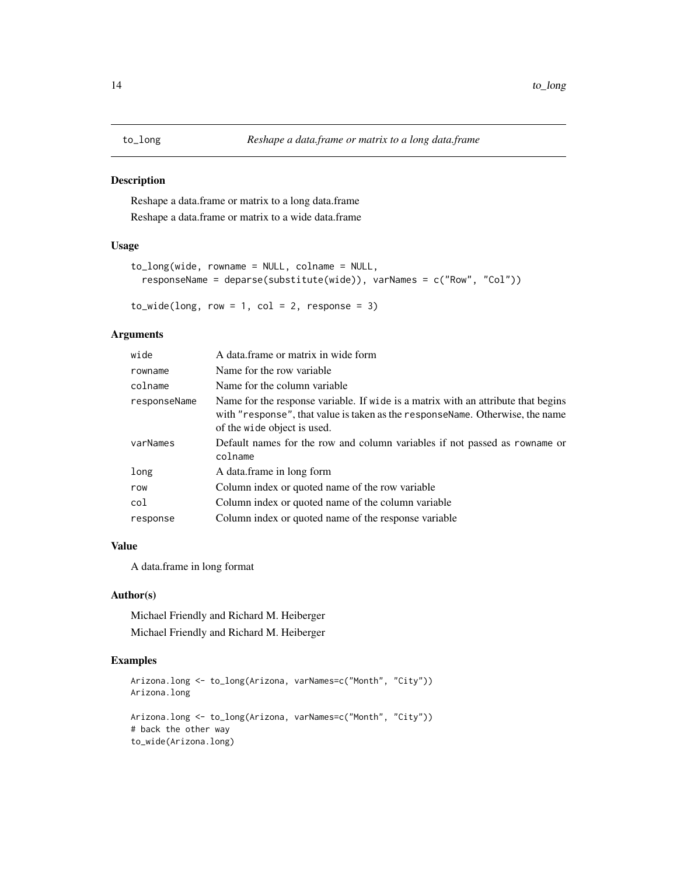<span id="page-13-0"></span>Reshape a data.frame or matrix to a long data.frame Reshape a data.frame or matrix to a wide data.frame

# Usage

```
to_long(wide, rowname = NULL, colname = NULL,
  responseName = deparse(substitute(wide)), varNames = c("Row", "Col"))
```
 $to_wide(long, row = 1, col = 2, response = 3)$ 

# Arguments

| wide         | A data.frame or matrix in wide form                                                                                                                                                               |
|--------------|---------------------------------------------------------------------------------------------------------------------------------------------------------------------------------------------------|
| rowname      | Name for the row variable.                                                                                                                                                                        |
| colname      | Name for the column variable                                                                                                                                                                      |
| responseName | Name for the response variable. If wide is a matrix with an attribute that begins<br>with "response", that value is taken as the responseName. Otherwise, the name<br>of the wide object is used. |
| varNames     | Default names for the row and column variables if not passed as rowname or<br>colname                                                                                                             |
| long         | A data.frame in long form                                                                                                                                                                         |
| row          | Column index or quoted name of the row variable                                                                                                                                                   |
| col          | Column index or quoted name of the column variable                                                                                                                                                |
| response     | Column index or quoted name of the response variable                                                                                                                                              |

# Value

A data.frame in long format

# Author(s)

Michael Friendly and Richard M. Heiberger Michael Friendly and Richard M. Heiberger

```
Arizona.long <- to_long(Arizona, varNames=c("Month", "City"))
Arizona.long
Arizona.long <- to_long(Arizona, varNames=c("Month", "City"))
# back the other way
to_wide(Arizona.long)
```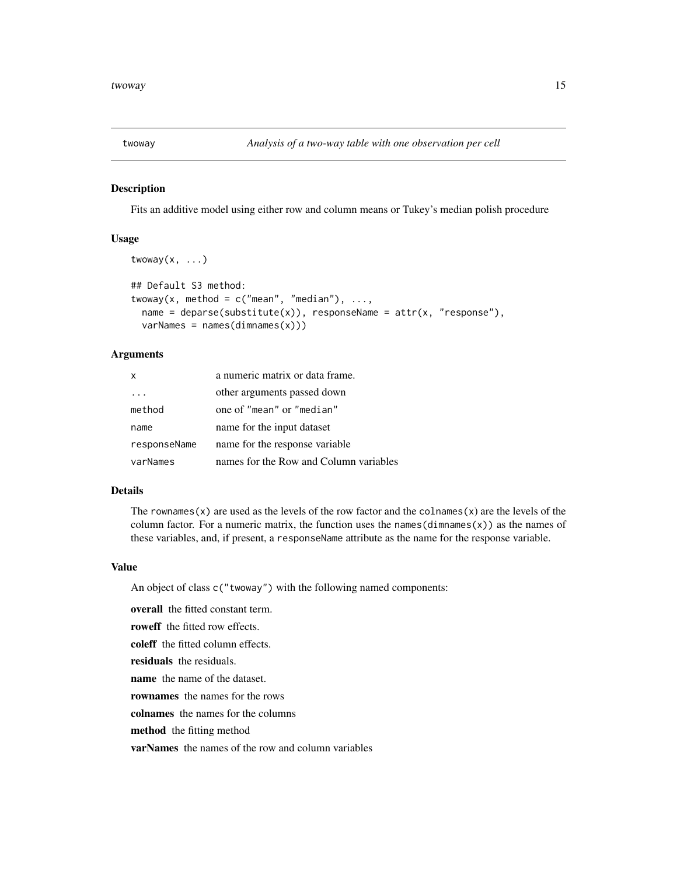<span id="page-14-0"></span>

twoway $(x, \ldots)$ 

Fits an additive model using either row and column means or Tukey's median polish procedure

#### Usage

```
## Default S3 method:
twoway(x, method = c("mean", "median"), ...,name = deparse(substitute(x)), responseName = attr(x, "response"),varNames = names(dimnames(x)))
```
#### Arguments

| x            | a numeric matrix or data frame.        |
|--------------|----------------------------------------|
|              | other arguments passed down            |
| method       | one of "mean" or "median"              |
| name         | name for the input dataset             |
| responseName | name for the response variable.        |
| varNames     | names for the Row and Column variables |

## Details

The rownames(x) are used as the levels of the row factor and the colnames(x) are the levels of the column factor. For a numeric matrix, the function uses the names (dimnames(x)) as the names of these variables, and, if present, a responseName attribute as the name for the response variable.

#### Value

An object of class c("twoway") with the following named components:

overall the fitted constant term. roweff the fitted row effects.

coleff the fitted column effects.

residuals the residuals.

name the name of the dataset.

rownames the names for the rows

colnames the names for the columns

method the fitting method

varNames the names of the row and column variables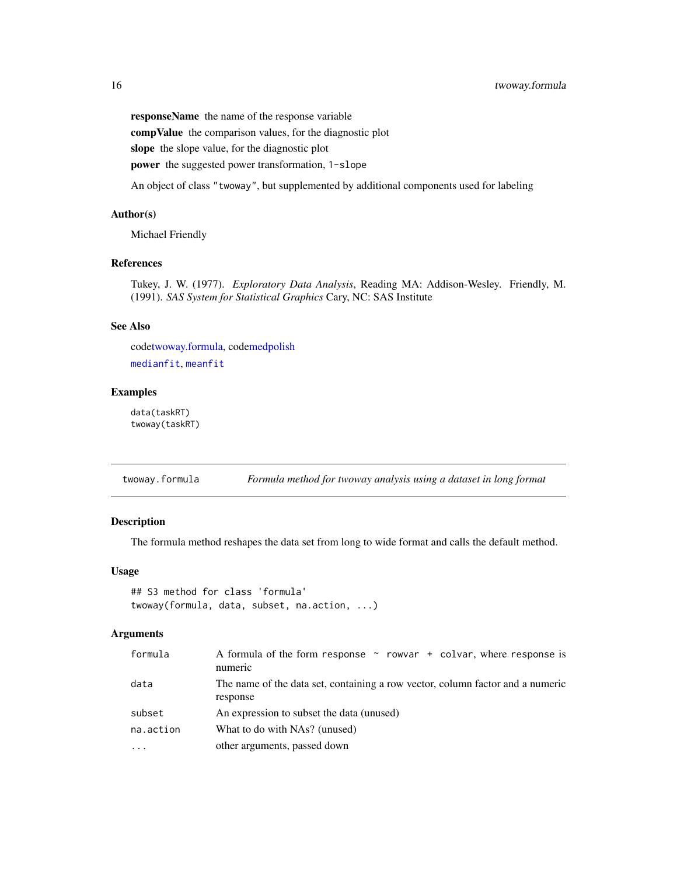responseName the name of the response variable compValue the comparison values, for the diagnostic plot slope the slope value, for the diagnostic plot power the suggested power transformation, 1-slope

An object of class "twoway", but supplemented by additional components used for labeling

#### Author(s)

Michael Friendly

# References

Tukey, J. W. (1977). *Exploratory Data Analysis*, Reading MA: Addison-Wesley. Friendly, M. (1991). *SAS System for Statistical Graphics* Cary, NC: SAS Institute

#### See Also

cod[etwoway.formula,](#page-15-1) cod[emedpolish](#page-0-0) [medianfit](#page-7-1), [meanfit](#page-7-2)

# Examples

data(taskRT) twoway(taskRT)

<span id="page-15-1"></span>twoway.formula *Formula method for twoway analysis using a dataset in long format*

# Description

The formula method reshapes the data set from long to wide format and calls the default method.

# Usage

```
## S3 method for class 'formula'
twoway(formula, data, subset, na.action, ...)
```

| formula   | A formula of the form response $\sim$ rowvar + colvar, where response is<br>numeric        |
|-----------|--------------------------------------------------------------------------------------------|
| data      | The name of the data set, containing a row vector, column factor and a numeric<br>response |
| subset    | An expression to subset the data (unused)                                                  |
| na.action | What to do with NAs? (unused)                                                              |
| $\cdot$   | other arguments, passed down                                                               |

<span id="page-15-0"></span>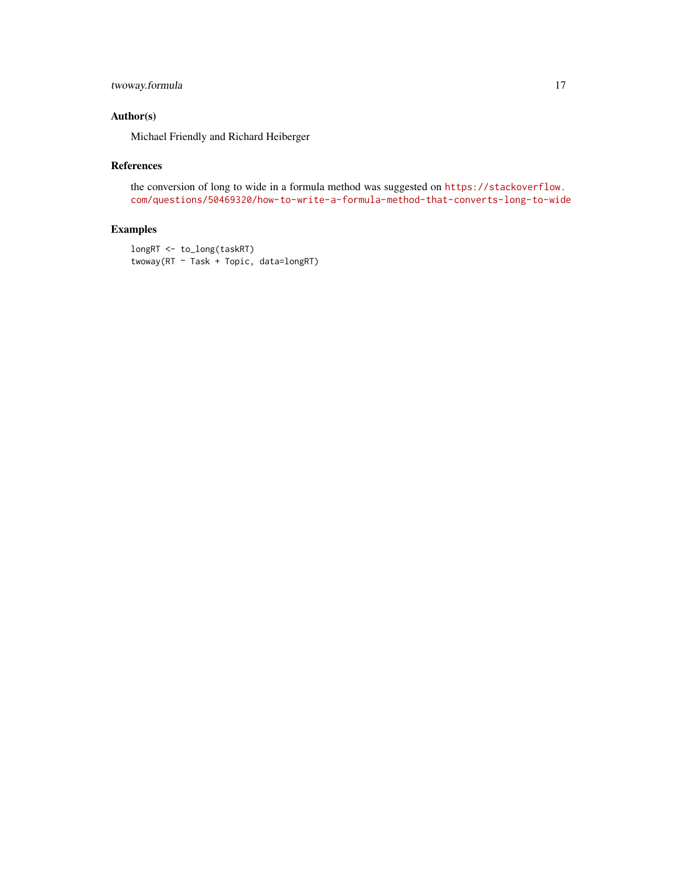# twoway.formula 17

# Author(s)

Michael Friendly and Richard Heiberger

#### References

the conversion of long to wide in a formula method was suggested on [https://stackoverflow.](https://stackoverflow.com/questions/50469320/how-to-write-a-formula-method-that-converts-long-to-wide) [com/questions/50469320/how-to-write-a-formula-method-that-converts-long-to-wide](https://stackoverflow.com/questions/50469320/how-to-write-a-formula-method-that-converts-long-to-wide)

```
longRT <- to_long(taskRT)
twoway(RT ~ Task + Topic, data=longRT)
```